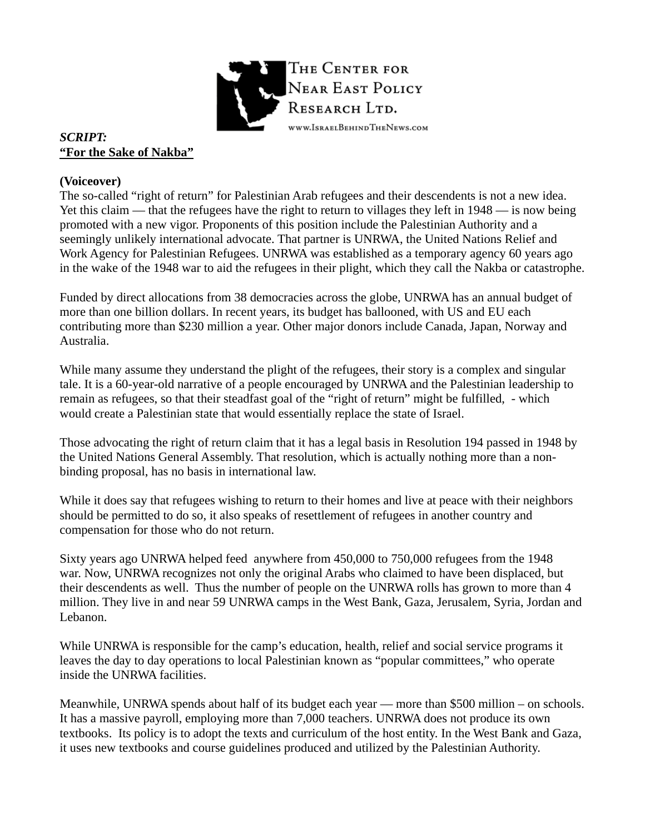

# *SCRIPT:*  **"For the Sake of Nakba"**

### **(Voiceover)**

The so-called "right of return" for Palestinian Arab refugees and their descendents is not a new idea. Yet this claim — that the refugees have the right to return to villages they left in 1948 — is now being promoted with a new vigor. Proponents of this position include the Palestinian Authority and a seemingly unlikely international advocate. That partner is UNRWA, the United Nations Relief and Work Agency for Palestinian Refugees. UNRWA was established as a temporary agency 60 years ago in the wake of the 1948 war to aid the refugees in their plight, which they call the Nakba or catastrophe.

Funded by direct allocations from 38 democracies across the globe, UNRWA has an annual budget of more than one billion dollars. In recent years, its budget has ballooned, with US and EU each contributing more than \$230 million a year. Other major donors include Canada, Japan, Norway and Australia.

While many assume they understand the plight of the refugees, their story is a complex and singular tale. It is a 60-year-old narrative of a people encouraged by UNRWA and the Palestinian leadership to remain as refugees, so that their steadfast goal of the "right of return" might be fulfilled, - which would create a Palestinian state that would essentially replace the state of Israel.

Those advocating the right of return claim that it has a legal basis in Resolution 194 passed in 1948 by the United Nations General Assembly. That resolution, which is actually nothing more than a nonbinding proposal, has no basis in international law.

While it does say that refugees wishing to return to their homes and live at peace with their neighbors should be permitted to do so, it also speaks of resettlement of refugees in another country and compensation for those who do not return.

Sixty years ago UNRWA helped feed anywhere from 450,000 to 750,000 refugees from the 1948 war. Now, UNRWA recognizes not only the original Arabs who claimed to have been displaced, but their descendents as well. Thus the number of people on the UNRWA rolls has grown to more than 4 million. They live in and near 59 UNRWA camps in the West Bank, Gaza, Jerusalem, Syria, Jordan and Lebanon.

While UNRWA is responsible for the camp's education, health, relief and social service programs it leaves the day to day operations to local Palestinian known as "popular committees," who operate inside the UNRWA facilities.

Meanwhile, UNRWA spends about half of its budget each year — more than \$500 million – on schools. It has a massive payroll, employing more than 7,000 teachers. UNRWA does not produce its own textbooks. Its policy is to adopt the texts and curriculum of the host entity. In the West Bank and Gaza, it uses new textbooks and course guidelines produced and utilized by the Palestinian Authority.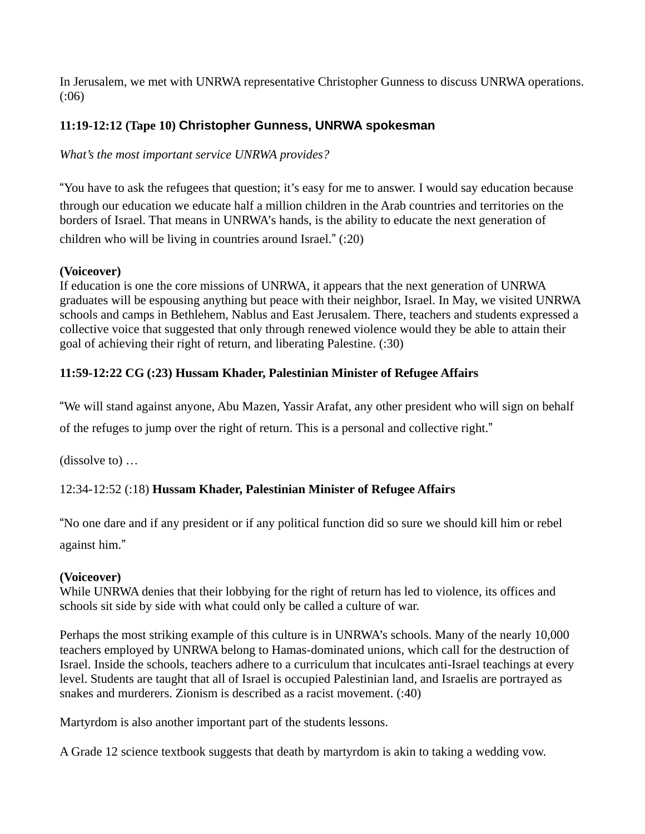In Jerusalem, we met with UNRWA representative Christopher Gunness to discuss UNRWA operations. (:06)

# **11:19-12:12 (Tape 10) Christopher Gunness, UNRWA spokesman**

*What's the most important service UNRWA provides?* 

"You have to ask the refugees that question; it's easy for me to answer. I would say education because through our education we educate half a million children in the Arab countries and territories on the borders of Israel. That means in UNRWA's hands, is the ability to educate the next generation of children who will be living in countries around Israel." (:20)

## **(Voiceover)**

If education is one the core missions of UNRWA, it appears that the next generation of UNRWA graduates will be espousing anything but peace with their neighbor, Israel. In May, we visited UNRWA schools and camps in Bethlehem, Nablus and East Jerusalem. There, teachers and students expressed a collective voice that suggested that only through renewed violence would they be able to attain their goal of achieving their right of return, and liberating Palestine. (:30)

# **11:59-12:22 CG (:23) Hussam Khader, Palestinian Minister of Refugee Affairs**

"We will stand against anyone, Abu Mazen, Yassir Arafat, any other president who will sign on behalf of the refuges to jump over the right of return. This is a personal and collective right."

(dissolve to) …

# 12:34-12:52 (:18) **Hussam Khader, Palestinian Minister of Refugee Affairs**

"No one dare and if any president or if any political function did so sure we should kill him or rebel

against him."

## **(Voiceover)**

While UNRWA denies that their lobbying for the right of return has led to violence, its offices and schools sit side by side with what could only be called a culture of war.

Perhaps the most striking example of this culture is in UNRWA's schools. Many of the nearly 10,000 teachers employed by UNRWA belong to Hamas-dominated unions, which call for the destruction of Israel. Inside the schools, teachers adhere to a curriculum that inculcates anti-Israel teachings at every level. Students are taught that all of Israel is occupied Palestinian land, and Israelis are portrayed as snakes and murderers. Zionism is described as a racist movement. (:40)

Martyrdom is also another important part of the students lessons.

A Grade 12 science textbook suggests that death by martyrdom is akin to taking a wedding vow.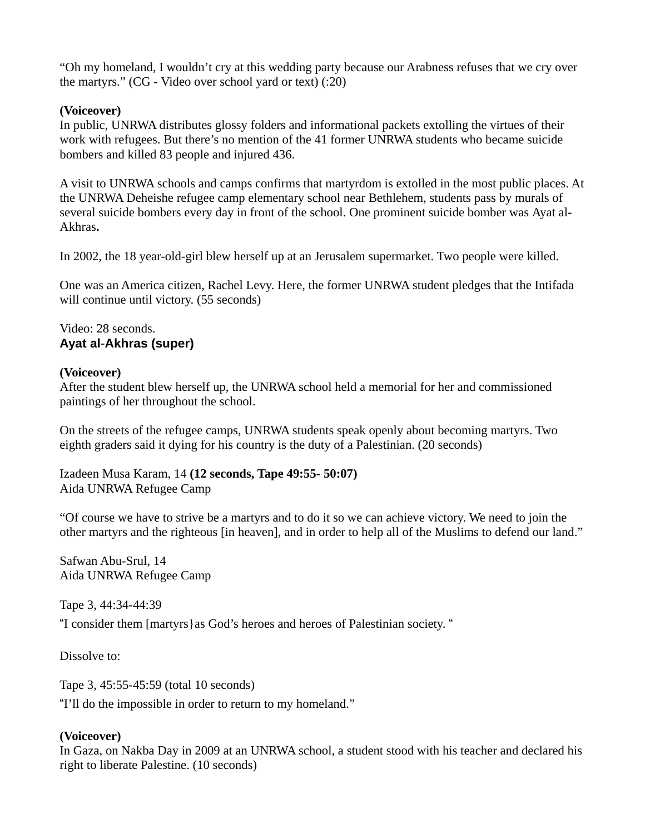"Oh my homeland, I wouldn't cry at this wedding party because our Arabness refuses that we cry over the martyrs." (CG - Video over school yard or text) (:20)

### **(Voiceover)**

In public, UNRWA distributes glossy folders and informational packets extolling the virtues of their work with refugees. But there's no mention of the 41 former UNRWA students who became suicide bombers and killed 83 people and injured 436.

A visit to UNRWA schools and camps confirms that martyrdom is extolled in the most public places. At the UNRWA Deheishe refugee camp elementary school near Bethlehem, students pass by murals of several suicide bombers every day in front of the school. One prominent suicide bomber was Ayat al**-**Akhras**.**

In 2002, the 18 year-old-girl blew herself up at an Jerusalem supermarket. Two people were killed.

One was an America citizen, Rachel Levy. Here, the former UNRWA student pledges that the Intifada will continue until victory. (55 seconds)

### Video: 28 seconds. **Ayat al**-**Akhras (super)**

### **(Voiceover)**

After the student blew herself up, the UNRWA school held a memorial for her and commissioned paintings of her throughout the school.

On the streets of the refugee camps, UNRWA students speak openly about becoming martyrs. Two eighth graders said it dying for his country is the duty of a Palestinian. (20 seconds)

Izadeen Musa Karam, 14 **(12 seconds, Tape 49:55- 50:07)** Aida UNRWA Refugee Camp

"Of course we have to strive be a martyrs and to do it so we can achieve victory. We need to join the other martyrs and the righteous [in heaven], and in order to help all of the Muslims to defend our land."

Safwan Abu-Srul, 14 Aida UNRWA Refugee Camp

Tape 3, 44:34-44:39

"I consider them [martyrs}as God's heroes and heroes of Palestinian society. "

Dissolve to:

Tape 3, 45:55-45:59 (total 10 seconds)

"I'll do the impossible in order to return to my homeland."

## **(Voiceover)**

In Gaza, on Nakba Day in 2009 at an UNRWA school, a student stood with his teacher and declared his right to liberate Palestine. (10 seconds)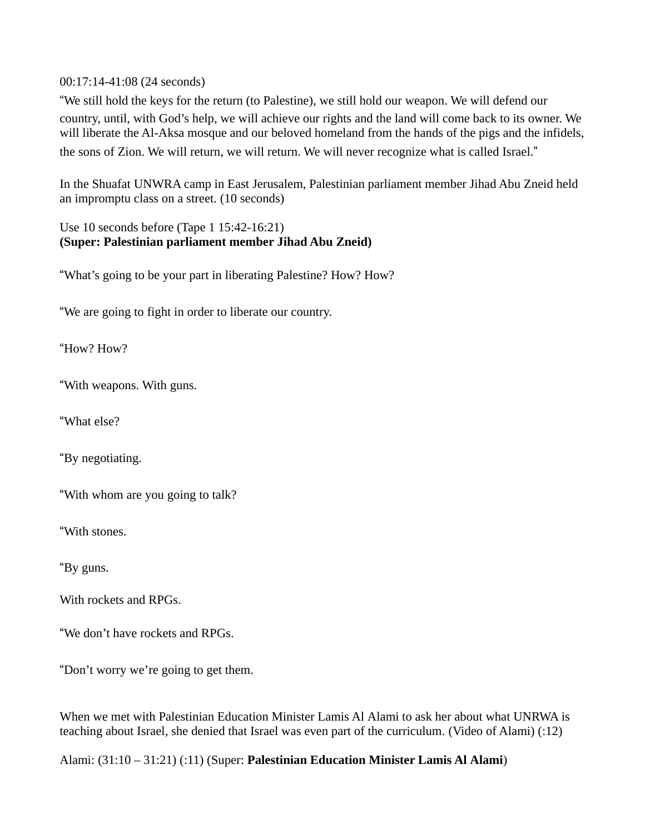00:17:14-41:08 (24 seconds)

"We still hold the keys for the return (to Palestine), we still hold our weapon. We will defend our country, until, with God's help, we will achieve our rights and the land will come back to its owner. We will liberate the Al-Aksa mosque and our beloved homeland from the hands of the pigs and the infidels, the sons of Zion. We will return, we will return. We will never recognize what is called Israel."

In the Shuafat UNWRA camp in East Jerusalem, Palestinian parliament member Jihad Abu Zneid held an impromptu class on a street. (10 seconds)

Use 10 seconds before (Tape 1 15:42-16:21) **(Super: Palestinian parliament member Jihad Abu Zneid)** 

"What's going to be your part in liberating Palestine? How? How?

"We are going to fight in order to liberate our country.

"How? How?

"With weapons. With guns.

"What else?

"By negotiating.

"With whom are you going to talk?

"With stones.

"By guns.

With rockets and RPGs.

"We don't have rockets and RPGs.

"Don't worry we're going to get them.

When we met with Palestinian Education Minister Lamis Al Alami to ask her about what UNRWA is teaching about Israel, she denied that Israel was even part of the curriculum. (Video of Alami) (:12)

Alami: (31:10 – 31:21) (:11) (Super: **Palestinian Education Minister Lamis Al Alami**)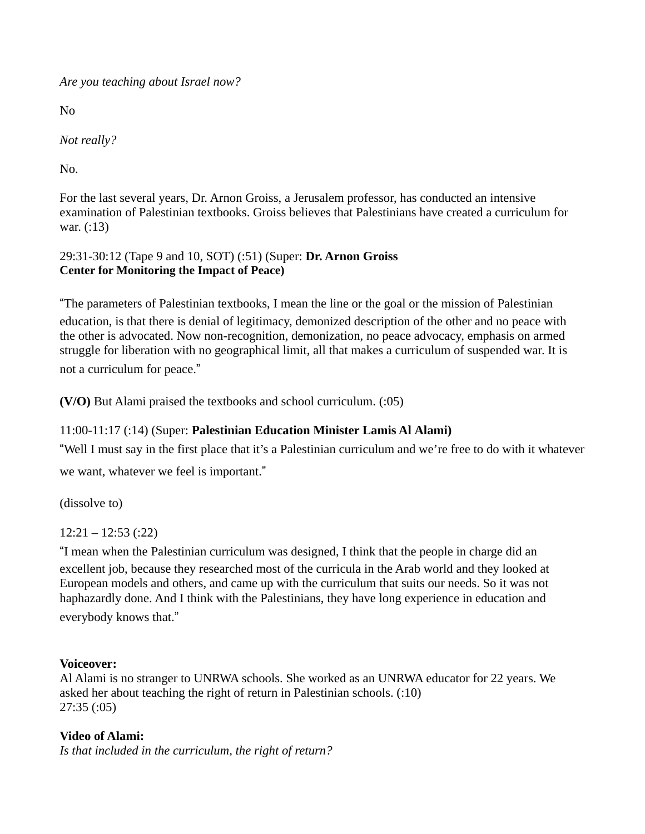*Are you teaching about Israel now?* 

No

*Not really?* 

No.

For the last several years, Dr. Arnon Groiss, a Jerusalem professor, has conducted an intensive examination of Palestinian textbooks. Groiss believes that Palestinians have created a curriculum for war. (:13)

# 29:31-30:12 (Tape 9 and 10, SOT) (:51) (Super: **Dr. Arnon Groiss Center for Monitoring the Impact of Peace)**

"The parameters of Palestinian textbooks, I mean the line or the goal or the mission of Palestinian education, is that there is denial of legitimacy, demonized description of the other and no peace with the other is advocated. Now non-recognition, demonization, no peace advocacy, emphasis on armed struggle for liberation with no geographical limit, all that makes a curriculum of suspended war. It is not a curriculum for peace."

**(V/O)** But Alami praised the textbooks and school curriculum. (:05)

# 11:00-11:17 (:14) (Super: **Palestinian Education Minister Lamis Al Alami)**

"Well I must say in the first place that it's a Palestinian curriculum and we're free to do with it whatever we want, whatever we feel is important."

(dissolve to)

 $12:21 - 12:53$  (:22)

"I mean when the Palestinian curriculum was designed, I think that the people in charge did an

excellent job, because they researched most of the curricula in the Arab world and they looked at European models and others, and came up with the curriculum that suits our needs. So it was not haphazardly done. And I think with the Palestinians, they have long experience in education and everybody knows that."

## **Voiceover:**

Al Alami is no stranger to UNRWA schools. She worked as an UNRWA educator for 22 years. We asked her about teaching the right of return in Palestinian schools. (:10) 27:35 (:05)

## **Video of Alami:**

*Is that included in the curriculum, the right of return?*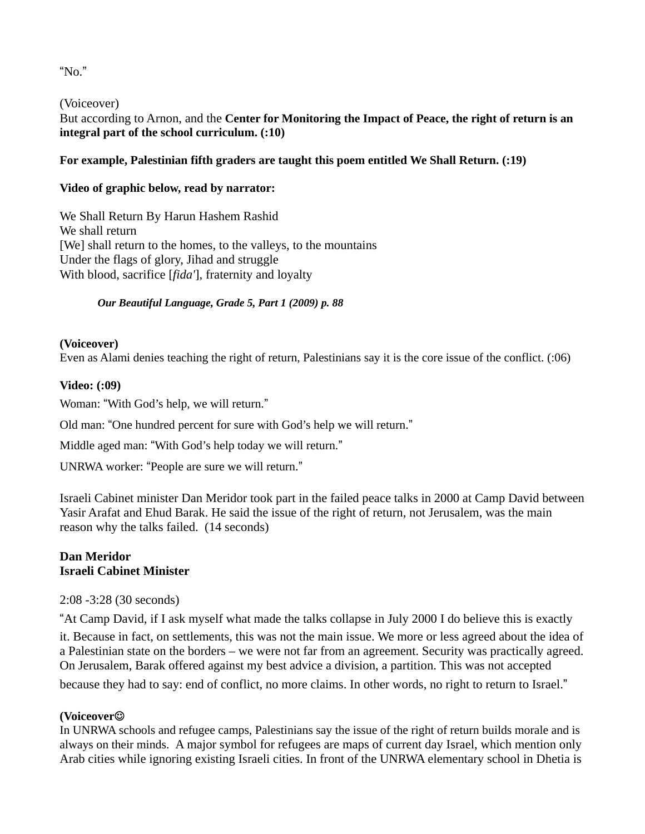"No."

(Voiceover)

But according to Arnon, and the **Center for Monitoring the Impact of Peace, the right of return is an integral part of the school curriculum. (:10)** 

# **For example, Palestinian fifth graders are taught this poem entitled We Shall Return. (:19)**

# **Video of graphic below, read by narrator:**

We Shall Return By Harun Hashem Rashid We shall return [We] shall return to the homes, to the valleys, to the mountains Under the flags of glory, Jihad and struggle With blood, sacrifice [*fida'*], fraternity and loyalty

## *Our Beautiful Language, Grade 5, Part 1 (2009) p. 88*

**(Voiceover)** 

Even as Alami denies teaching the right of return, Palestinians say it is the core issue of the conflict. (:06)

## **Video: (:09)**

Woman: "With God's help, we will return."

Old man: "One hundred percent for sure with God's help we will return."

Middle aged man: "With God's help today we will return."

UNRWA worker: "People are sure we will return."

Israeli Cabinet minister Dan Meridor took part in the failed peace talks in 2000 at Camp David between Yasir Arafat and Ehud Barak. He said the issue of the right of return, not Jerusalem, was the main reason why the talks failed. (14 seconds)

## **Dan Meridor Israeli Cabinet Minister**

2:08 -3:28 (30 seconds)

"At Camp David, if I ask myself what made the talks collapse in July 2000 I do believe this is exactly it. Because in fact, on settlements, this was not the main issue. We more or less agreed about the idea of a Palestinian state on the borders – we were not far from an agreement. Security was practically agreed. On Jerusalem, Barak offered against my best advice a division, a partition. This was not accepted because they had to say: end of conflict, no more claims. In other words, no right to return to Israel."

# **(Voiceover**

In UNRWA schools and refugee camps, Palestinians say the issue of the right of return builds morale and is always on their minds.A major symbol for refugees are maps of current day Israel, which mention only Arab cities while ignoring existing Israeli cities. In front of the UNRWA elementary school in Dhetia is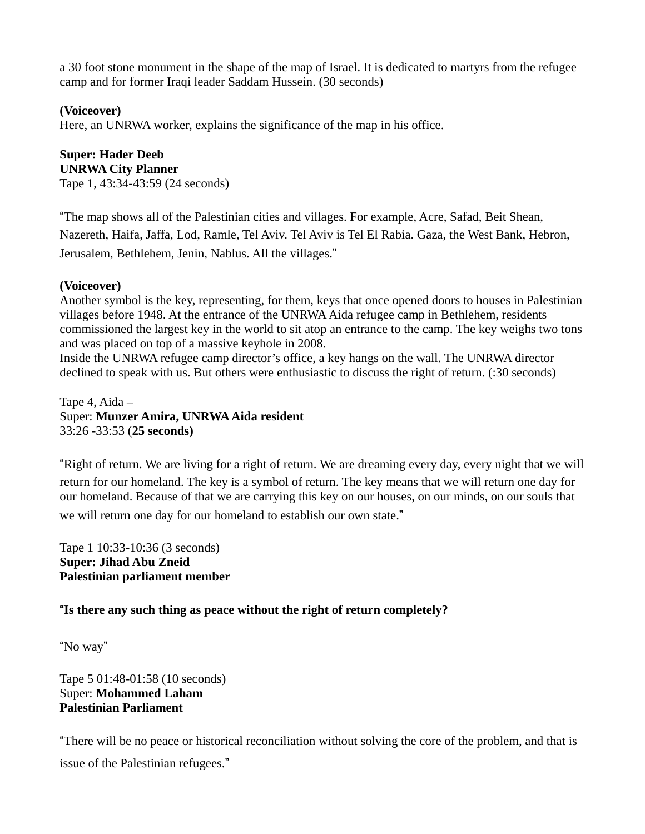a 30 foot stone monument in the shape of the map of Israel. It is dedicated to martyrs from the refugee camp and for former Iraqi leader Saddam Hussein. (30 seconds)

# **(Voiceover)**

Here, an UNRWA worker, explains the significance of the map in his office.

#### **Super: Hader Deeb UNRWA City Planner**

Tape 1, 43:34-43:59 (24 seconds)

"The map shows all of the Palestinian cities and villages. For example, Acre, Safad, Beit Shean, Nazereth, Haifa, Jaffa, Lod, Ramle, Tel Aviv. Tel Aviv is Tel El Rabia. Gaza, the West Bank, Hebron, Jerusalem, Bethlehem, Jenin, Nablus. All the villages."

## **(Voiceover)**

Another symbol is the key, representing, for them, keys that once opened doors to houses in Palestinian villages before 1948. At the entrance of the UNRWA Aida refugee camp in Bethlehem, residents commissioned the largest key in the world to sit atop an entrance to the camp. The key weighs two tons and was placed on top of a massive keyhole in 2008.

Inside the UNRWA refugee camp director's office, a key hangs on the wall. The UNRWA director declined to speak with us. But others were enthusiastic to discuss the right of return. (:30 seconds)

Tape 4, Aida – Super: **Munzer Amira, UNRWA Aida resident**  33:26 -33:53 (**25 seconds)**

"Right of return. We are living for a right of return. We are dreaming every day, every night that we will return for our homeland. The key is a symbol of return. The key means that we will return one day for our homeland. Because of that we are carrying this key on our houses, on our minds, on our souls that we will return one day for our homeland to establish our own state."

Tape 1 10:33-10:36 (3 seconds) **Super: Jihad Abu Zneid Palestinian parliament member** 

# "**Is there any such thing as peace without the right of return completely?**

"No way"

Tape 5 01:48-01:58 (10 seconds) Super: **Mohammed Laham Palestinian Parliament** 

"There will be no peace or historical reconciliation without solving the core of the problem, and that is issue of the Palestinian refugees."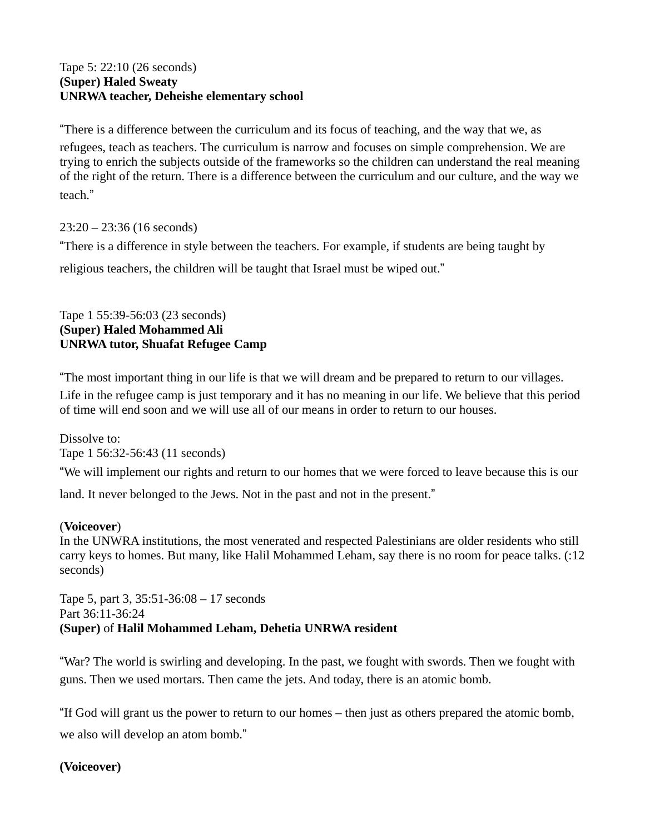### Tape 5: 22:10 (26 seconds) **(Super) Haled Sweaty UNRWA teacher, Deheishe elementary school**

"There is a difference between the curriculum and its focus of teaching, and the way that we, as refugees, teach as teachers. The curriculum is narrow and focuses on simple comprehension. We are trying to enrich the subjects outside of the frameworks so the children can understand the real meaning of the right of the return. There is a difference between the curriculum and our culture, and the way we teach."

23:20 – 23:36 (16 seconds)

"There is a difference in style between the teachers. For example, if students are being taught by

religious teachers, the children will be taught that Israel must be wiped out."

# Tape 1 55:39-56:03 (23 seconds) **(Super) Haled Mohammed Ali UNRWA tutor, Shuafat Refugee Camp**

"The most important thing in our life is that we will dream and be prepared to return to our villages.

Life in the refugee camp is just temporary and it has no meaning in our life. We believe that this period of time will end soon and we will use all of our means in order to return to our houses.

Dissolve to: Tape 1 56:32-56:43 (11 seconds)

"We will implement our rights and return to our homes that we were forced to leave because this is our

land. It never belonged to the Jews. Not in the past and not in the present."

## (**Voiceover**)

In the UNWRA institutions, the most venerated and respected Palestinians are older residents who still carry keys to homes. But many, like Halil Mohammed Leham, say there is no room for peace talks. (:12 seconds)

Tape 5, part 3, 35:51-36:08 – 17 seconds Part 36:11-36:24 **(Super)** of **Halil Mohammed Leham, Dehetia UNRWA resident**

"War? The world is swirling and developing. In the past, we fought with swords. Then we fought with guns. Then we used mortars. Then came the jets. And today, there is an atomic bomb.

"If God will grant us the power to return to our homes – then just as others prepared the atomic bomb, we also will develop an atom bomb."

**(Voiceover)**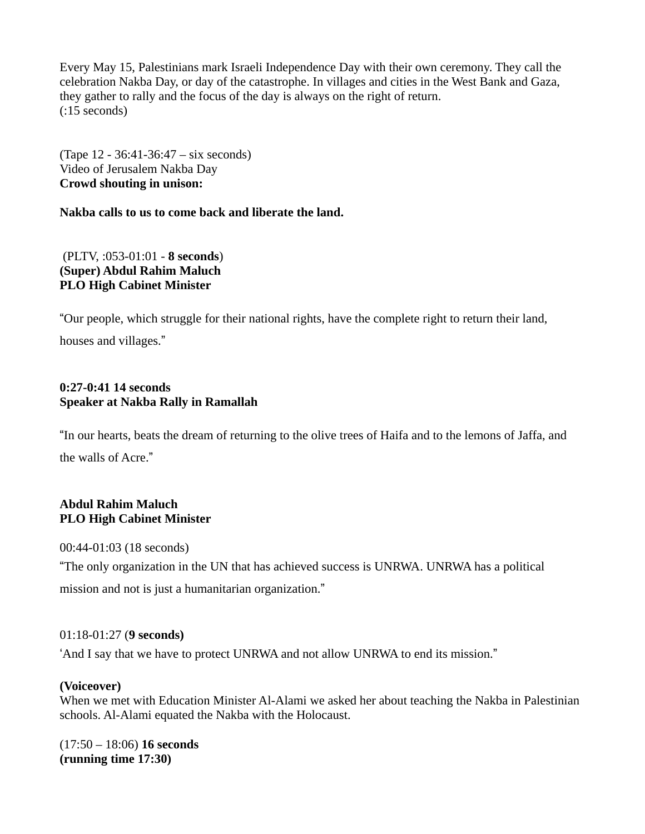Every May 15, Palestinians mark Israeli Independence Day with their own ceremony. They call the celebration Nakba Day, or day of the catastrophe. In villages and cities in the West Bank and Gaza, they gather to rally and the focus of the day is always on the right of return. (:15 seconds)

(Tape 12 - 36:41-36:47 – six seconds) Video of Jerusalem Nakba Day **Crowd shouting in unison:** 

**Nakba calls to us to come back and liberate the land.** 

 (PLTV, :053-01:01 - **8 seconds**) **(Super) Abdul Rahim Maluch PLO High Cabinet Minister** 

"Our people, which struggle for their national rights, have the complete right to return their land, houses and villages."

### **0:27-0:41 14 seconds Speaker at Nakba Rally in Ramallah**

"In our hearts, beats the dream of returning to the olive trees of Haifa and to the lemons of Jaffa, and the walls of Acre."

### **Abdul Rahim Maluch PLO High Cabinet Minister**

00:44-01:03 (18 seconds)

"The only organization in the UN that has achieved success is UNRWA. UNRWA has a political mission and not is just a humanitarian organization."

## 01:18-01:27 (**9 seconds)**

'And I say that we have to protect UNRWA and not allow UNRWA to end its mission."

## **(Voiceover)**

When we met with Education Minister Al-Alami we asked her about teaching the Nakba in Palestinian schools. Al-Alami equated the Nakba with the Holocaust.

(17:50 – 18:06) **16 seconds (running time 17:30)**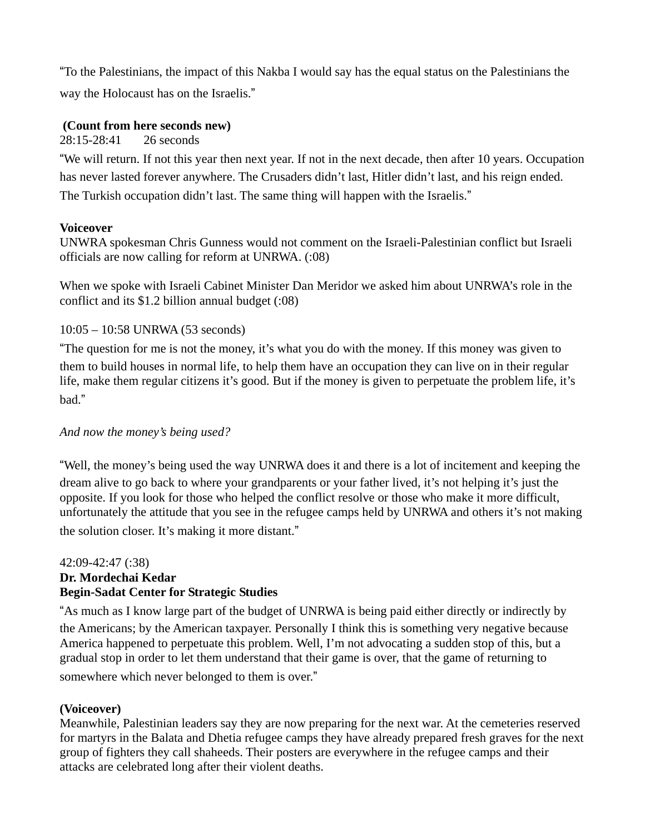"To the Palestinians, the impact of this Nakba I would say has the equal status on the Palestinians the way the Holocaust has on the Israelis."

### **(Count from here seconds new)**

28:15-28:41 26 seconds

"We will return. If not this year then next year. If not in the next decade, then after 10 years. Occupation has never lasted forever anywhere. The Crusaders didn't last, Hitler didn't last, and his reign ended. The Turkish occupation didn't last. The same thing will happen with the Israelis."

### **Voiceover**

UNWRA spokesman Chris Gunness would not comment on the Israeli-Palestinian conflict but Israeli officials are now calling for reform at UNRWA. (:08)

When we spoke with Israeli Cabinet Minister Dan Meridor we asked him about UNRWA's role in the conflict and its \$1.2 billion annual budget (:08)

## 10:05 – 10:58 UNRWA (53 seconds)

"The question for me is not the money, it's what you do with the money. If this money was given to them to build houses in normal life, to help them have an occupation they can live on in their regular life, make them regular citizens it's good. But if the money is given to perpetuate the problem life, it's bad."

## *And now the money's being used?*

"Well, the money's being used the way UNRWA does it and there is a lot of incitement and keeping the dream alive to go back to where your grandparents or your father lived, it's not helping it's just the opposite. If you look for those who helped the conflict resolve or those who make it more difficult, unfortunately the attitude that you see in the refugee camps held by UNRWA and others it's not making the solution closer. It's making it more distant."

### 42:09-42:47 (:38) **Dr. Mordechai Kedar Begin-Sadat Center for Strategic Studies**

"As much as I know large part of the budget of UNRWA is being paid either directly or indirectly by the Americans; by the American taxpayer. Personally I think this is something very negative because America happened to perpetuate this problem. Well, I'm not advocating a sudden stop of this, but a gradual stop in order to let them understand that their game is over, that the game of returning to somewhere which never belonged to them is over."

## **(Voiceover)**

Meanwhile, Palestinian leaders say they are now preparing for the next war. At the cemeteries reserved for martyrs in the Balata and Dhetia refugee camps they have already prepared fresh graves for the next group of fighters they call shaheeds. Their posters are everywhere in the refugee camps and their attacks are celebrated long after their violent deaths.